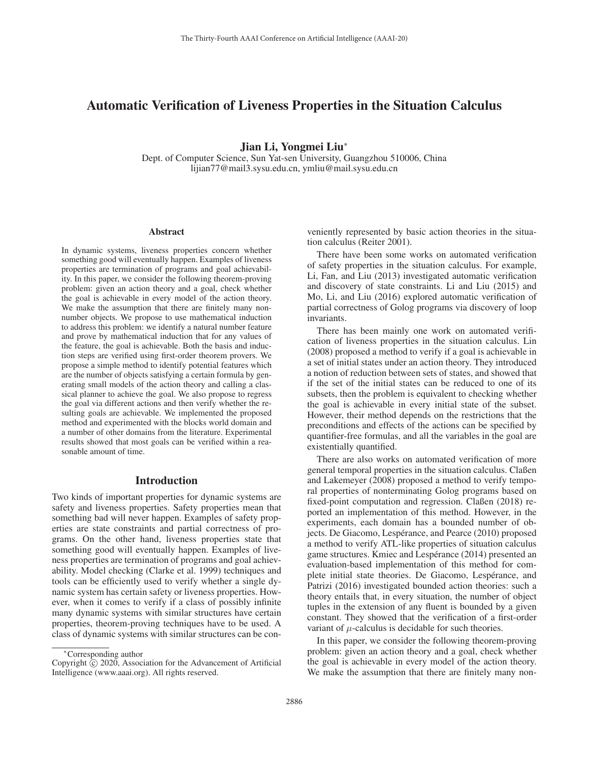# Automatic Verification of Liveness Properties in the Situation Calculus

Jian Li, Yongmei Liu<sup>∗</sup>

Dept. of Computer Science, Sun Yat-sen University, Guangzhou 510006, China lijian77@mail3.sysu.edu.cn, ymliu@mail.sysu.edu.cn

#### Abstract

In dynamic systems, liveness properties concern whether something good will eventually happen. Examples of liveness properties are termination of programs and goal achievability. In this paper, we consider the following theorem-proving problem: given an action theory and a goal, check whether the goal is achievable in every model of the action theory. We make the assumption that there are finitely many nonnumber objects. We propose to use mathematical induction to address this problem: we identify a natural number feature and prove by mathematical induction that for any values of the feature, the goal is achievable. Both the basis and induction steps are verified using first-order theorem provers. We propose a simple method to identify potential features which are the number of objects satisfying a certain formula by generating small models of the action theory and calling a classical planner to achieve the goal. We also propose to regress the goal via different actions and then verify whether the resulting goals are achievable. We implemented the proposed method and experimented with the blocks world domain and a number of other domains from the literature. Experimental results showed that most goals can be verified within a reasonable amount of time.

### Introduction

Two kinds of important properties for dynamic systems are safety and liveness properties. Safety properties mean that something bad will never happen. Examples of safety properties are state constraints and partial correctness of programs. On the other hand, liveness properties state that something good will eventually happen. Examples of liveness properties are termination of programs and goal achievability. Model checking (Clarke et al. 1999) techniques and tools can be efficiently used to verify whether a single dynamic system has certain safety or liveness properties. However, when it comes to verify if a class of possibly infinite many dynamic systems with similar structures have certain properties, theorem-proving techniques have to be used. A class of dynamic systems with similar structures can be conveniently represented by basic action theories in the situation calculus (Reiter 2001).

There have been some works on automated verification of safety properties in the situation calculus. For example, Li, Fan, and Liu (2013) investigated automatic verification and discovery of state constraints. Li and Liu (2015) and Mo, Li, and Liu (2016) explored automatic verification of partial correctness of Golog programs via discovery of loop invariants.

There has been mainly one work on automated verification of liveness properties in the situation calculus. Lin (2008) proposed a method to verify if a goal is achievable in a set of initial states under an action theory. They introduced a notion of reduction between sets of states, and showed that if the set of the initial states can be reduced to one of its subsets, then the problem is equivalent to checking whether the goal is achievable in every initial state of the subset. However, their method depends on the restrictions that the preconditions and effects of the actions can be specified by quantifier-free formulas, and all the variables in the goal are existentially quantified.

There are also works on automated verification of more general temporal properties in the situation calculus. Claßen and Lakemeyer (2008) proposed a method to verify temporal properties of nonterminating Golog programs based on fixed-point computation and regression. Claßen (2018) reported an implementation of this method. However, in the experiments, each domain has a bounded number of objects. De Giacomo, Lespérance, and Pearce (2010) proposed a method to verify ATL-like properties of situation calculus game structures. Kmiec and Lespérance (2014) presented an evaluation-based implementation of this method for complete initial state theories. De Giacomo, Lespérance, and Patrizi (2016) investigated bounded action theories: such a theory entails that, in every situation, the number of object tuples in the extension of any fluent is bounded by a given constant. They showed that the verification of a first-order variant of  $\mu$ -calculus is decidable for such theories.

In this paper, we consider the following theorem-proving problem: given an action theory and a goal, check whether the goal is achievable in every model of the action theory. We make the assumption that there are finitely many non-

<sup>∗</sup>Corresponding author

Copyright  $\odot$  2020, Association for the Advancement of Artificial Intelligence (www.aaai.org). All rights reserved.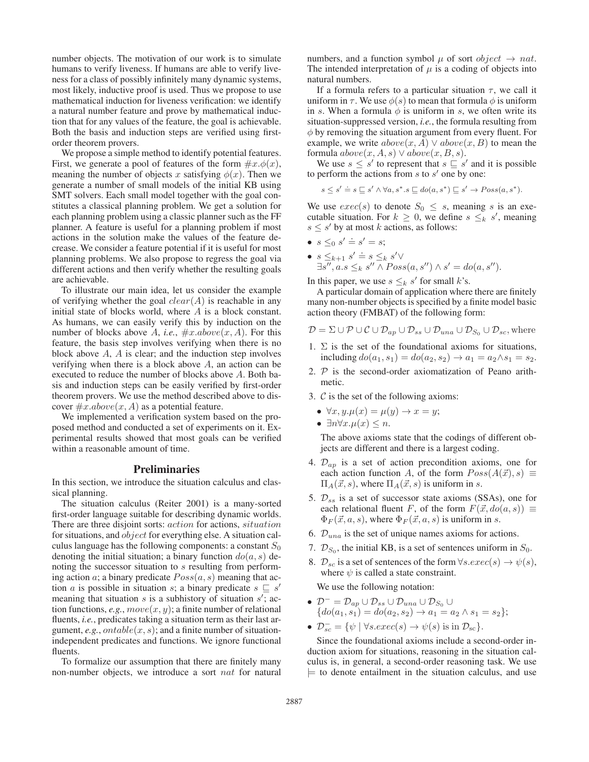number objects. The motivation of our work is to simulate humans to verify liveness. If humans are able to verify liveness for a class of possibly infinitely many dynamic systems, most likely, inductive proof is used. Thus we propose to use mathematical induction for liveness verification: we identify a natural number feature and prove by mathematical induction that for any values of the feature, the goal is achievable. Both the basis and induction steps are verified using firstorder theorem provers.

We propose a simple method to identify potential features. First, we generate a pool of features of the form  $\#x.\phi(x)$ , meaning the number of objects x satisfying  $\phi(x)$ . Then we generate a number of small models of the initial KB using SMT solvers. Each small model together with the goal constitutes a classical planning problem. We get a solution for each planning problem using a classic planner such as the FF planner. A feature is useful for a planning problem if most actions in the solution make the values of the feature decrease. We consider a feature potential if it is useful for most planning problems. We also propose to regress the goal via different actions and then verify whether the resulting goals are achievable.

To illustrate our main idea, let us consider the example of verifying whether the goal  $clear(A)$  is reachable in any initial state of blocks world, where A is a block constant. As humans, we can easily verify this by induction on the number of blocks above A, *i.e.*,  $\#x.aboutmath>.$  For this feature, the basis step involves verifying when there is no block above  $A$ ,  $A$  is clear; and the induction step involves verifying when there is a block above  $A$ , an action can be executed to reduce the number of blocks above A. Both basis and induction steps can be easily verified by first-order theorem provers. We use the method described above to discover  $\#x.aboutmath>.$  A) as a potential feature.

We implemented a verification system based on the proposed method and conducted a set of experiments on it. Experimental results showed that most goals can be verified within a reasonable amount of time.

#### Preliminaries

In this section, we introduce the situation calculus and classical planning.

The situation calculus (Reiter 2001) is a many-sorted first-order language suitable for describing dynamic worlds. There are three disjoint sorts: action for actions, situation for situations, and *object* for everything else. A situation calculus language has the following components: a constant  $S_0$ denoting the initial situation; a binary function  $do(a, s)$  denoting the successor situation to s resulting from performing action a; a binary predicate  $Poss(a, s)$  meaning that action a is possible in situation s; a binary predicate  $s \subseteq s'$ meaning that situation  $s$  is a subhistory of situation  $s'$ ; action functions, *e.g.*,  $move(x, y)$ ; a finite number of relational fluents, *i.e.*, predicates taking a situation term as their last argument, *e.g.*,  $ontable(x, s)$ ; and a finite number of situationindependent predicates and functions. We ignore functional fluents.

To formalize our assumption that there are finitely many non-number objects, we introduce a sort *nat* for natural

numbers, and a function symbol  $\mu$  of sort *object*  $\rightarrow$  *nat.* The intended interpretation of  $\mu$  is a coding of objects into natural numbers.

If a formula refers to a particular situation  $\tau$ , we call it uniform in  $\tau$ . We use  $\phi(s)$  to mean that formula  $\phi$  is uniform in s. When a formula  $\phi$  is uniform in s, we often write its situation-suppressed version, *i.e.*, the formula resulting from  $\phi$  by removing the situation argument from every fluent. For example, we write  $above(x, A) \vee above(x, B)$  to mean the formula  $above(x, A, s) \vee above(x, B, s)$ .

We use  $s \leq s'$  to represent that  $s \sqsubseteq s'$  and it is possible to perform the actions from  $s$  to  $s'$  one by one:

$$
s \leq s' \doteq s \sqsubseteq s' \land \forall a, s^* . s \sqsubseteq do(a, s^*) \sqsubseteq s' \rightarrow Poss(a, s^*).
$$

We use  $exec(s)$  to denote  $S_0 \leq s$ , meaning s is an executable situation. For  $k \geq 0$ , we define  $s \leq_k s'$ , meaning  $s \leq s'$  by at most k actions, as follows:

- $s \leq 0$   $s' \doteq s' = s;$
- $s \leq_{k+1} s' \doteq s \leq_k s' \vee$  $\exists s'', a.s \leq_{k} s'' \wedge Poss(a, s'') \wedge s' = do(a, s'').$

In this paper, we use  $s \leq_k s'$  for small k's.

A particular domain of application where there are finitely many non-number objects is specified by a finite model basic action theory (FMBAT) of the following form:

$$
\mathcal{D} = \Sigma \cup \mathcal{P} \cup \mathcal{C} \cup \mathcal{D}_{ap} \cup \mathcal{D}_{ss} \cup \mathcal{D}_{una} \cup \mathcal{D}_{S_0} \cup \mathcal{D}_{sc}, \text{where}
$$

- 1.  $\Sigma$  is the set of the foundational axioms for situations, including  $do(a_1, s_1) = do(a_2, s_2) \rightarrow a_1 = a_2 \wedge s_1 = s_2$ .
- 2.  $P$  is the second-order axiomatization of Peano arithmetic.
- 3.  $C$  is the set of the following axioms:
	- $\forall x, y. \mu(x) = \mu(y) \rightarrow x = y;$
	- $\exists n \forall x . \mu(x) \leq n$ .

The above axioms state that the codings of different objects are different and there is a largest coding.

- 4.  $\mathcal{D}_{ap}$  is a set of action precondition axioms, one for each action function A, of the form  $Poss(A(\vec{x}), s) \equiv$  $\Pi_A(\vec{x}, s)$ , where  $\Pi_A(\vec{x}, s)$  is uniform in s.
- 5.  $\mathcal{D}_{ss}$  is a set of successor state axioms (SSAs), one for each relational fluent F, of the form  $F(\vec{x}, do(a, s)) \equiv$  $\Phi_F(\vec{x}, a, s)$ , where  $\Phi_F(\vec{x}, a, s)$  is uniform in s.
- 6.  $\mathcal{D}_{una}$  is the set of unique names axioms for actions.
- 7.  $\mathcal{D}_{S_0}$ , the initial KB, is a set of sentences uniform in  $S_0$ .
- 8.  $\mathcal{D}_{sc}$  is a set of sentences of the form  $\forall s. exec(s) \rightarrow \psi(s)$ , where  $\psi$  is called a state constraint.

We use the following notation:

- $\bullet$   $\mathcal{D}^{-} = \mathcal{D}_{ap} \cup \mathcal{D}_{ss} \cup \mathcal{D}_{una} \cup \mathcal{D}_{S_0} \cup$  ${do(a_1, s_1) = do(a_2, s_2) \rightarrow a_1 = a_2 \wedge s_1 = s_2};$
- $\mathcal{D}_{sc}^- = \{ \psi \mid \forall s.exec(s) \rightarrow \psi(s) \text{ is in } \mathcal{D}_{sc} \}.$

Since the foundational axioms include a second-order induction axiom for situations, reasoning in the situation calculus is, in general, a second-order reasoning task. We use  $\models$  to denote entailment in the situation calculus, and use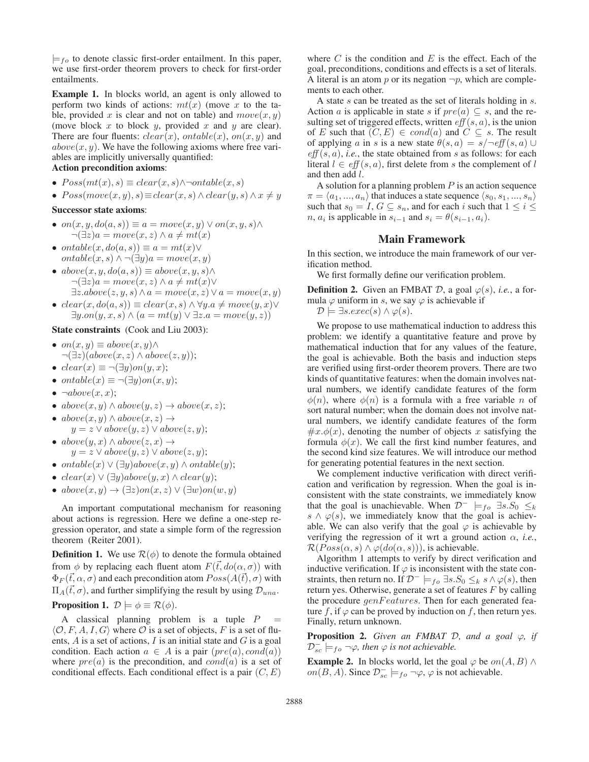$\models$ <sub>fo</sub> to denote classic first-order entailment. In this paper, we use first-order theorem provers to check for first-order entailments.

Example 1. In blocks world, an agent is only allowed to perform two kinds of actions:  $mt(x)$  (move x to the table, provided x is clear and not on table) and  $move(x, y)$ (move block  $x$  to block  $y$ , provided  $x$  and  $y$  are clear). There are four fluents:  $clear(x)$ ,  $ontable(x)$ ,  $on(x, y)$  and  $above(x, y)$ . We have the following axioms where free variables are implicitly universally quantified:

# Action precondition axioms:

- $Poss(mt(x), s) \equiv clear(x, s) \land \neg ontable(x, s)$
- $Poss(move(x, y), s) \equiv clear(x, s) \wedge clear(y, s) \wedge x \neq y$

### Successor state axioms:

- on $(x, y, do(a, s)) \equiv a = move(x, y) \vee on(x, y, s) \wedge$  $\neg(\exists z)a = move(x, z) \land a \neq mt(x)$
- ontable $(x, do(a, s)) \equiv a = mt(x) \vee$ *ontable* $(x, s)$   $\land$   $\neg$  $(\exists y)a = move(x, y)$
- $above(x, y, do(a, s)) \equiv above(x, y, s) \wedge$  $\neg(\exists z)a = move(x, z) \land a \neq mt(x) \lor$  $\exists z.above(z, y, s) \land a = move(x, z) \lor a = move(x, y)$
- $clear(x,do(a, s)) \equiv clear(x, s) \land \forall y. a \neq move(y, x) \lor$  $\exists y. on(y, x, s) \land (a = mt(y) \lor \exists z. a = move(y, z))$

#### State constraints (Cook and Liu 2003):

- on $(x, y) \equiv above(x, y) \wedge$  $\neg(\exists z)(above(x,z) \land above(z,y));$
- $clear(x) \equiv \neg(\exists y)on(y, x);$
- ontable(x)  $\equiv \neg (\exists y)$ on(x, y);
- $\bullet \ \neg above(x, x);$
- $above(x, y) \wedge above(y, z) \rightarrow above(x, z);$
- $above(x, y) \wedge above(x, z) \rightarrow$  $y = z \vee above(y, z) \vee above(z, y);$
- $above(y, x) \wedge above(z, x) \rightarrow$  $y = z \vee above(y, z) \vee above(z, y);$
- ontable(x)  $\vee$   $(\exists y)$ above(x, y)  $\wedge$  ontable(y);
- $clear(x) \vee (\exists y) above(y, x) \wedge clear(y);$
- $above(x, y) \rightarrow (\exists z) on(x, z) \vee (\exists w) on(w, y)$

An important computational mechanism for reasoning about actions is regression. Here we define a one-step regression operator, and state a simple form of the regression theorem (Reiter 2001).

**Definition 1.** We use  $\mathcal{R}(\phi)$  to denote the formula obtained from  $\phi$  by replacing each fluent atom  $F(\vec{t}, do(\alpha, \sigma))$  with  $\Phi_F(\vec{t}, \alpha, \sigma)$  and each precondition atom  $Poss(A(\vec{t}), \sigma)$  with  $\Pi_A(\vec{t}, \sigma)$ , and further simplifying the result by using  $\mathcal{D}_{una}$ . **Proposition 1.**  $\mathcal{D} \models \phi \equiv \mathcal{R}(\phi)$ .

A classical planning problem is a tuple  $P$  $\langle O, F, A, I, G \rangle$  where O is a set of objects, F is a set of fluents,  $A$  is a set of actions,  $I$  is an initial state and  $G$  is a goal condition. Each action  $a \in A$  is a pair  $(pre(a), cond(a))$ where  $pre(a)$  is the precondition, and  $cond(a)$  is a set of conditional effects. Each conditional effect is a pair  $(C, E)$ 

where  $C$  is the condition and  $E$  is the effect. Each of the goal, preconditions, conditions and effects is a set of literals. A literal is an atom  $p$  or its negation  $\neg p$ , which are complements to each other.

A state s can be treated as the set of literals holding in s. Action a is applicable in state s if  $pre(a) \subseteq s$ , and the resulting set of triggered effects, written  $\textit{eff}(s, a)$ , is the union of E such that  $(C, E) \in cond(a)$  and  $C \subseteq s$ . The result of applying a in s is a new state  $\theta(s, a) = s/\neg \theta f(s, a) \cup$  $eff(s, a)$ , *i.e.*, the state obtained from s as follows: for each literal  $l \in \text{eff}(s, a)$ , first delete from s the complement of l and then add l.

A solution for a planning problem  $P$  is an action sequence  $\pi = \langle a_1, ..., a_n \rangle$  that induces a state sequence  $\langle s_0, s_1, ..., s_n \rangle$ such that  $s_0 = I, G \subseteq s_n$ , and for each i such that  $1 \leq i \leq$ *n*,  $a_i$  is applicable in  $s_{i-1}$  and  $s_i = \theta(s_{i-1}, a_i)$ .

# Main Framework

In this section, we introduce the main framework of our verification method.

We first formally define our verification problem.

**Definition 2.** Given an FMBAT D, a goal  $\varphi(s)$ , *i.e.*, a formula  $\varphi$  uniform in s, we say  $\varphi$  is achievable if

 $\mathcal{D} \models \exists s. exec(s) \land \varphi(s).$ 

We propose to use mathematical induction to address this problem: we identify a quantitative feature and prove by mathematical induction that for any values of the feature, the goal is achievable. Both the basis and induction steps are verified using first-order theorem provers. There are two kinds of quantitative features: when the domain involves natural numbers, we identify candidate features of the form  $\phi(n)$ , where  $\phi(n)$  is a formula with a free variable n of sort natural number; when the domain does not involve natural numbers, we identify candidate features of the form  $\#x.\phi(x)$ , denoting the number of objects x satisfying the formula  $\phi(x)$ . We call the first kind number features, and the second kind size features. We will introduce our method for generating potential features in the next section.

We complement inductive verification with direct verification and verification by regression. When the goal is inconsistent with the state constraints, we immediately know that the goal is unachievable. When  $\mathcal{D}^ \models_{fo} \exists s.S_0 \leq_k$  $s \wedge \varphi(s)$ , we immediately know that the goal is achievable. We can also verify that the goal  $\varphi$  is achievable by verifying the regression of it wrt a ground action  $\alpha$ , *i.e.*,  $\mathcal{R}(Poss(\alpha, s) \wedge \varphi(do(\alpha, s))),$  is achievable.

Algorithm 1 attempts to verify by direct verification and inductive verification. If  $\varphi$  is inconsistent with the state constraints, then return no. If  $\mathcal{D}^- \models_{fo} \exists s.S_0 \leq_k s \land \varphi(s)$ , then return yes. Otherwise, generate a set of features  $F$  by calling the procedure  $genFeatures$ . Then for each generated feature f, if  $\varphi$  can be proved by induction on f, then return yes. Finally, return unknown.

**Proposition 2.** *Given an FMBAT*  $D$ *, and a goal*  $\varphi$ *, if*  $\mathcal{D}_{sc}^- \models_{fo} \neg \varphi$ , then  $\varphi$  is not achievable.

**Example 2.** In blocks world, let the goal  $\varphi$  be  $on(A, B) \wedge$  $on(B, A)$ . Since  $\mathcal{D}_{sc}^ \models$  f<sub>o</sub> ¬ $\varphi$ ,  $\varphi$  is not achievable.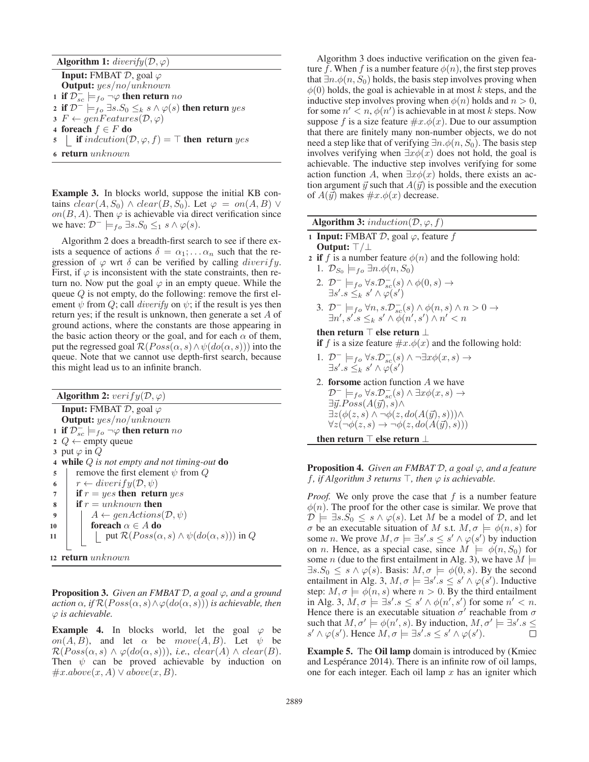| <b>Algorithm 1:</b> diverify $(D, \varphi)$                                               |  |  |  |  |
|-------------------------------------------------------------------------------------------|--|--|--|--|
| <b>Input:</b> FMBAT $D$ , goal $\varphi$                                                  |  |  |  |  |
| <b>Output:</b> $yes/no/unknown$                                                           |  |  |  |  |
| 1 if $\mathcal{D}_{sc}^- \models_{fo} \neg \varphi$ then return no                        |  |  |  |  |
| 2 if $\mathcal{D}^- \models_{fo} \exists s.S_0 \leq_k s \land \varphi(s)$ then return yes |  |  |  |  |
| $\mathfrak{s} \nvdash \Leftarrow genFeatures(\mathcal{D}, \varphi)$                       |  |  |  |  |
| 4 foreach $f \in F$ do                                                                    |  |  |  |  |
| 5   if $indcution(\mathcal{D}, \varphi, f) = \top$ then return yes                        |  |  |  |  |
| 6 return unknown                                                                          |  |  |  |  |

Example 3. In blocks world, suppose the initial KB contains  $clear(A, S_0) \wedge clear(B, S_0)$ . Let  $\varphi = on(A, B) \vee$ on(B, A). Then  $\varphi$  is achievable via direct verification since we have:  $\mathcal{D}^- \models_{fo} \exists s.S_0 \leq_1 s \land \varphi(s)$ .

Algorithm 2 does a breadth-first search to see if there exists a sequence of actions  $\delta = \alpha_1; \dots; \alpha_n$  such that the regression of  $\varphi$  wrt  $\delta$  can be verified by calling *diverify*. First, if  $\varphi$  is inconsistent with the state constraints, then return no. Now put the goal  $\varphi$  in an empty queue. While the queue  $Q$  is not empty, do the following: remove the first element  $\psi$  from Q; call *diverify* on  $\psi$ ; if the result is yes then return yes; if the result is unknown, then generate a set A of ground actions, where the constants are those appearing in the basic action theory or the goal, and for each  $\alpha$  of them, put the regressed goal  $\mathcal{R}(Poss(\alpha, s) \wedge \psi(do(\alpha, s)))$  into the queue. Note that we cannot use depth-first search, because this might lead us to an infinite branch.

Algorithm 2:  $verify(D, \varphi)$ **Input:** FMBAT  $D$ , goal  $\varphi$ Output: yes/no/unknown 1 if  $\mathcal{D}_{sc}^-\models_{fo} \neg \varphi$  then return  $no$ 2 Q  $\leftarrow$  empty queue 3 put  $\varphi$  in  $Q$ <sup>4</sup> while Q *is not empty and not timing-out* do 5 remove the first element  $\psi$  from  $Q$ 6  $r \leftarrow diverify(\mathcal{D}, \psi)$ 7 if  $r = yes$  then return yes  $\mathbf{s}$  if  $r = unknown$  then 9  $\mid A \leftarrow gen Actions(\mathcal{D}, \psi)$ 10 **foreach**  $\alpha \in A$  do 11 | put  $\mathcal{R}(Poss(\alpha, s) \wedge \psi(do(\alpha, s)))$  in  $Q$ <sup>12</sup> return unknown

Proposition 3. *Given an FMBAT* D*, a goal* ϕ*, and a ground action*  $\alpha$ *, if*  $\mathcal{R}(Poss(\alpha, s) \land \varphi(do(\alpha, s)))$  *is achievable, then* ϕ *is achievable.*

**Example 4.** In blocks world, let the goal  $\varphi$  be on(A, B), and let  $\alpha$  be  $move(A, B)$ . Let  $\psi$  be  $\mathcal{R}(Poss(\alpha, s) \land \varphi(do(\alpha, s))),$  *i.e.*, *clear*(*A*)  $\land$  *clear*(*B*). Then  $\psi$  can be proved achievable by induction on  $\#x.about(x, A) \vee above(x, B).$ 

Algorithm 3 does inductive verification on the given feature f. When f is a number feature  $\phi(n)$ , the first step proves that  $\exists n.\phi(n, S_0)$  holds, the basis step involves proving when  $\phi(0)$  holds, the goal is achievable in at most k steps, and the inductive step involves proving when  $\phi(n)$  holds and  $n > 0$ , for some  $n' < n$ ,  $\phi(n')$  is achievable in at most k steps. Now suppose f is a size feature  $\#x.\phi(x)$ . Due to our assumption that there are finitely many non-number objects, we do not need a step like that of verifying  $\exists n.\phi(n, S_0)$ . The basis step involves verifying when  $\exists x \phi(x)$  does not hold, the goal is achievable. The inductive step involves verifying for some action function A, when  $\exists x \phi(x)$  holds, there exists an action argument  $\vec{y}$  such that  $A(\vec{y})$  is possible and the execution of  $A(\vec{y})$  makes  $\#x.\phi(x)$  decrease.

Algorithm 3: induction( $\mathcal{D}, \varphi, f$ )

- 1 Input: FMBAT  $D$ , goal  $\varphi$ , feature f Output: T/⊥
- 2 if f is a number feature  $\phi(n)$  and the following hold:
	- 1.  $\mathcal{D}_{S_0} \models_{fo} \exists n.\phi(n, S_0)$
	- 2.  $\mathcal{D}^- \models_{fo} \forall s.\mathcal{D}^-_{sc}(s) \land \phi(0,s) \rightarrow$  $\exists s'.s \leq_k s' \wedge \varphi(s')$
	- 3.  $\mathcal{D}^- \models_{fo} \forall n, s.\mathcal{D}^-_{sc}(s) \land \phi(n,s) \land n > 0 \rightarrow$  $\exists n', s'.s \leq_{k} s' \wedge \phi(n', s') \wedge n' < n$

### then return  $\top$  else return  $\bot$

- if f is a size feature  $\#x.\phi(x)$  and the following hold:
- 1.  $\mathcal{D}^- \models_{fo} \forall s.\mathcal{D}^-_{sc}(s) \land \neg \exists x \phi(x,s) \rightarrow$  $\exists s'.s \leq_k s' \wedge \varphi(s')$
- 2. forsome action function A we have  $\mathcal{D}^- \models_{fo} \forall s.\mathcal{D}^-_{sc}(s) \land \exists x \phi(x,s) \rightarrow$  $\exists \vec{y}.Poss(A(\vec{y}), s) \wedge$  $\exists z(\phi(z,s) \land \neg \phi(z, do(A(\vec{y}), s))) \land$  $\forall z (\neg \phi(z, s) \rightarrow \neg \phi(z, do(A(\vec{y}), s)))$

then return  $\top$  else return  $\bot$ 

Proposition 4. *Given an FMBAT* D*, a goal* ϕ*, and a feature f*, *if Algorithm 3 returns*  $\top$ *, then*  $\varphi$  *is achievable.* 

*Proof.* We only prove the case that  $f$  is a number feature  $\phi(n)$ . The proof for the other case is similar. We prove that  $\mathcal{D} \models \exists s.S_0 \leq s \land \varphi(s)$ . Let M be a model of D, and let σ be an executable situation of M s.t.  $M, σ \models φ(n, s)$  for some *n*. We prove  $M, \sigma \models \exists s'.s \leq s' \land \varphi(s')$  by induction on *n*. Hence, as a special case, since  $M \models \phi(n, S_0)$  for some *n* (due to the first entailment in Alg. 3), we have  $M \models$  $\exists s.S_0 \leq s \land \varphi(s)$ . Basis:  $M, \sigma \models \varphi(0, s)$ . By the second entailment in Alg. 3,  $M, \sigma \models \exists s'.s \leq s' \land \varphi(s')$ . Inductive step:  $M, \sigma \models \phi(n, s)$  where  $n > 0$ . By the third entailment in Alg. 3,  $M, \sigma \models \exists s'.s \leq s' \land \phi(n', s')$  for some  $n' < n$ . Hence there is an executable situation  $\sigma'$  reachable from  $\sigma$ such that  $M, \sigma' \models \phi(n', s)$ . By induction,  $M, \sigma' \models \exists s'.s \leq$  $s' \wedge \varphi(s')$ . Hence  $M, \sigma \models \exists s'. s \leq s' \wedge \varphi(s')$ .  $\Box$ 

Example 5. The Oil lamp domain is introduced by (Kmiec and Lespérance 2014). There is an infinite row of oil lamps, one for each integer. Each oil lamp  $x$  has an igniter which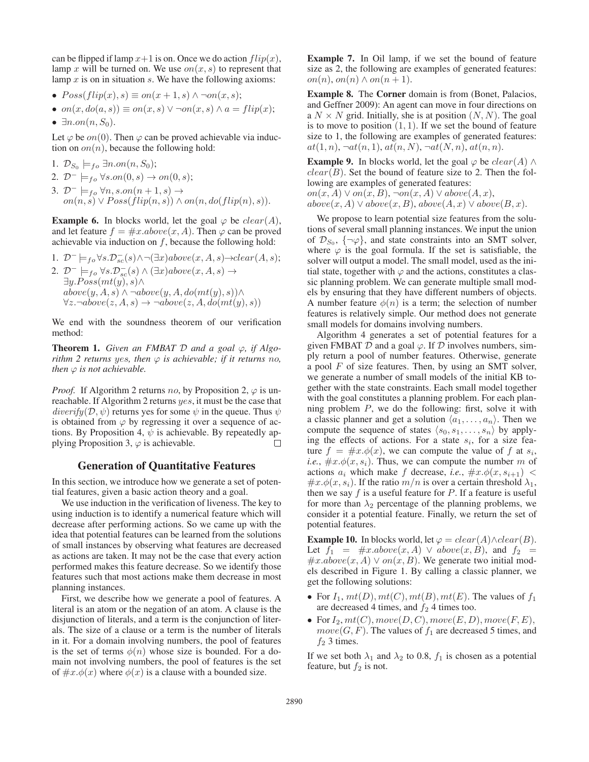can be flipped if lamp  $x+1$  is on. Once we do action  $flip(x)$ , lamp x will be turned on. We use  $on(x, s)$  to represent that lamp  $x$  is on in situation  $s$ . We have the following axioms:

•  $Poss(flip(x), s) \equiv on(x + 1, s) \wedge \neg on(x, s);$ 

• 
$$
on(x, do(a, s)) \equiv on(x, s) \lor \neg on(x, s) \land a = flip(x);
$$

•  $\exists n. on(n, S_0)$ .

Let  $\varphi$  be  $on(0)$ . Then  $\varphi$  can be proved achievable via induction on  $\text{on}(n)$ , because the following hold:

- 1.  $\mathcal{D}_{S_0} \models_{fo} \exists n. on(n, S_0);$
- 2.  $\mathcal{D}^- \models_{fo} \forall s. on(0, s) \rightarrow on(0, s);$
- 3.  $\mathcal{D}^- \models_{fo} \forall n, s. on(n+1, s) \rightarrow$  $on(n, s) \vee Poss(\hat{flip}(n, s)) \wedge on(n, do(flip(n), s)).$

**Example 6.** In blocks world, let the goal  $\varphi$  be  $clear(A)$ , and let feature  $f = \#x \cdot above(x, A)$ . Then  $\varphi$  can be proved achievable via induction on  $f$ , because the following hold:

1.  $\mathcal{D}^- \models_{fo} \forall s.\mathcal{D}_{sc}^-(s) \land \neg(\exists x) above(x, A, s) \rightarrow clear(A, s);$ 2.  $\mathcal{D}^- \models_{fo} \forall s.\mathcal{D}_{sc}^-(s) \land (\exists x) above(x, A, s) \rightarrow$  $\exists y. Poss(mt(y), s) \wedge$  $above(y, A, s) \wedge \neg above(y, A, do(mt(y), s)) \wedge$  $\forall z. \neg above(z, A, s) \rightarrow \neg above(z, A, do(mt(y), s))$ 

We end with the soundness theorem of our verification method:

**Theorem 1.** *Given an FMBAT*  $D$  *and a goal*  $\varphi$ *, if Algorithm 2 returns yes, then*  $\varphi$  *is achievable; if it returns no, then*  $\varphi$  *is not achievable.* 

*Proof.* If Algorithm 2 returns no, by Proposition 2,  $\varphi$  is unreachable. If Algorithm 2 returns yes, it must be the case that  $diverify(\mathcal{D}, \psi)$  returns yes for some  $\psi$  in the queue. Thus  $\psi$ is obtained from  $\varphi$  by regressing it over a sequence of actions. By Proposition 4,  $\psi$  is achievable. By repeatedly applying Proposition 3,  $\varphi$  is achievable.  $\Box$ 

# Generation of Quantitative Features

In this section, we introduce how we generate a set of potential features, given a basic action theory and a goal.

We use induction in the verification of liveness. The key to using induction is to identify a numerical feature which will decrease after performing actions. So we came up with the idea that potential features can be learned from the solutions of small instances by observing what features are decreased as actions are taken. It may not be the case that every action performed makes this feature decrease. So we identify those features such that most actions make them decrease in most planning instances.

First, we describe how we generate a pool of features. A literal is an atom or the negation of an atom. A clause is the disjunction of literals, and a term is the conjunction of literals. The size of a clause or a term is the number of literals in it. For a domain involving numbers, the pool of features is the set of terms  $\phi(n)$  whose size is bounded. For a domain not involving numbers, the pool of features is the set of  $\#x.\phi(x)$  where  $\phi(x)$  is a clause with a bounded size.

Example 7. In Oil lamp, if we set the bound of feature size as 2, the following are examples of generated features: on(n), on(n)  $\land$  on(n+1).

Example 8. The Corner domain is from (Bonet, Palacios, and Geffner 2009): An agent can move in four directions on a  $N \times N$  grid. Initially, she is at position  $(N, N)$ . The goal is to move to position  $(1, 1)$ . If we set the bound of feature size to 1, the following are examples of generated features:  $at(1, n), \neg at(n, 1), at(n, N), \neg at(N, n), at(n, n).$ 

**Example 9.** In blocks world, let the goal  $\varphi$  be  $clear(A) \wedge$  $clear(B)$ . Set the bound of feature size to 2. Then the following are examples of generated features: on(x, A) ∨ on(x, B), ¬on(x, A) ∨ above(A, x),  $above(x, A) \vee above(x, B), above(A, x) \vee above(B, x).$ 

We propose to learn potential size features from the solutions of several small planning instances. We input the union of  $\mathcal{D}_{S_0}$ ,  $\{\neg \varphi\}$ , and state constraints into an SMT solver, where  $\varphi$  is the goal formula. If the set is satisfiable, the solver will output a model. The small model, used as the initial state, together with  $\varphi$  and the actions, constitutes a classic planning problem. We can generate multiple small models by ensuring that they have different numbers of objects. A number feature  $\phi(n)$  is a term; the selection of number features is relatively simple. Our method does not generate small models for domains involving numbers.

Algorithm 4 generates a set of potential features for a given FMBAT  $D$  and a goal  $\varphi$ . If  $D$  involves numbers, simply return a pool of number features. Otherwise, generate a pool  $F$  of size features. Then, by using an SMT solver, we generate a number of small models of the initial KB together with the state constraints. Each small model together with the goal constitutes a planning problem. For each planning problem  $P$ , we do the following: first, solve it with a classic planner and get a solution  $\langle a_1, \ldots, a_n \rangle$ . Then we compute the sequence of states  $\langle s_0, s_1, \ldots, s_n \rangle$  by applying the effects of actions. For a state  $s_i$ , for a size feature  $f = \#x.\phi(x)$ , we can compute the value of f at  $s_i$ , *i.e.*,  $\#x.\phi(x, s_i)$ . Thus, we can compute the number m of actions  $a_i$  which make f decrease, *i.e.*,  $\#x.\phi(x, s_{i+1})$  <  $\#x.\phi(x, s_i)$ . If the ratio  $m/n$  is over a certain threshold  $\lambda_1$ , then we say  $f$  is a useful feature for  $P$ . If a feature is useful for more than  $\lambda_2$  percentage of the planning problems, we consider it a potential feature. Finally, we return the set of potential features.

**Example 10.** In blocks world, let  $\varphi = clear(A) \wedge clear(B)$ . Let  $f_1 = \#x.about(x, A) \lor above(x, B)$ , and  $f_2 =$  $\#x.about(x, A) \lor on(x, B)$ . We generate two initial models described in Figure 1. By calling a classic planner, we get the following solutions:

- For  $I_1$ ,  $mt(D)$ ,  $mt(C)$ ,  $mt(B)$ ,  $mt(E)$ . The values of  $f_1$ are decreased 4 times, and  $f_2$  4 times too.
- For  $I_2, mt(C), move(D, C), move(E, D), move(F, E),$  $move(G, F)$ . The values of  $f_1$  are decreased 5 times, and  $f_2$  3 times.

If we set both  $\lambda_1$  and  $\lambda_2$  to 0.8,  $f_1$  is chosen as a potential feature, but  $f_2$  is not.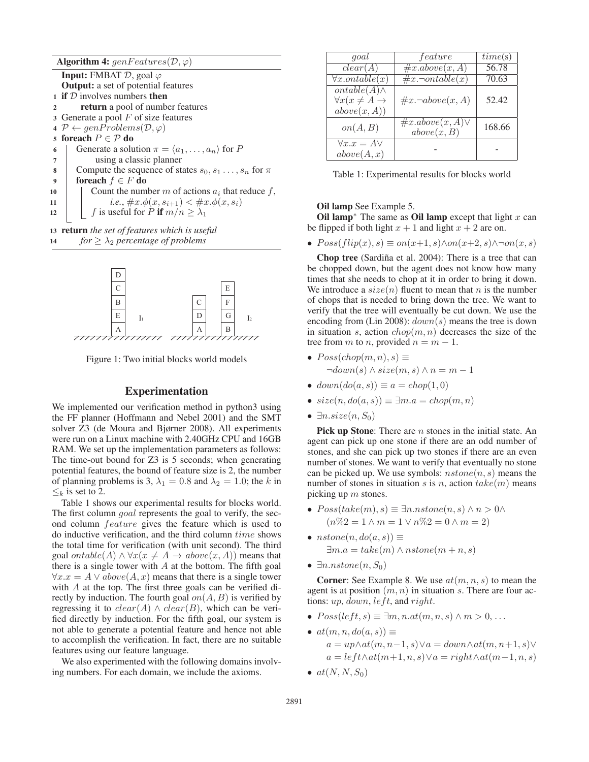|                  | <b>Algorithm 4:</b> $genFeatures(\mathcal{D}, \varphi)$            |  |  |  |  |  |  |
|------------------|--------------------------------------------------------------------|--|--|--|--|--|--|
|                  | <b>Input:</b> FMBAT $D$ , goal $\varphi$                           |  |  |  |  |  |  |
|                  | <b>Output:</b> a set of potential features                         |  |  |  |  |  |  |
|                  | 1 if $D$ involves numbers then                                     |  |  |  |  |  |  |
| $\mathbf{2}$     | <b>return</b> a pool of number features                            |  |  |  |  |  |  |
|                  | 3 Generate a pool $F$ of size features                             |  |  |  |  |  |  |
|                  | $\varphi \leftarrow genProblems(\mathcal{D}, \varphi)$             |  |  |  |  |  |  |
|                  | 5 foreach $P \in \mathcal{P}$ do                                   |  |  |  |  |  |  |
| 6                | Generate a solution $\pi = \langle a_1, \ldots, a_n \rangle$ for P |  |  |  |  |  |  |
| 7                | using a classic planner                                            |  |  |  |  |  |  |
| 8                | Compute the sequence of states $s_0, s_1, \ldots, s_n$ for $\pi$   |  |  |  |  |  |  |
| $\boldsymbol{Q}$ | foreach $f \in F$ do                                               |  |  |  |  |  |  |
| 10               | Count the number m of actions $a_i$ that reduce f,                 |  |  |  |  |  |  |
| 11               | <i>i.e.</i> , $\#x.\phi(x,s_{i+1}) < \#x.\phi(x,s_i)$              |  |  |  |  |  |  |
| 12               | f is useful for P if $m/n \geq \lambda_1$                          |  |  |  |  |  |  |
|                  |                                                                    |  |  |  |  |  |  |

<sup>13</sup> return *the set of features which is useful* 14 *for*  $> \lambda_2$  *percentage of problems* 



Figure 1: Two initial blocks world models

### Experimentation

We implemented our verification method in python3 using the FF planner (Hoffmann and Nebel 2001) and the SMT solver Z3 (de Moura and Bjørner 2008). All experiments were run on a Linux machine with 2.40GHz CPU and 16GB RAM. We set up the implementation parameters as follows: The time-out bound for Z3 is 5 seconds; when generating potential features, the bound of feature size is 2, the number of planning problems is 3,  $\lambda_1 = 0.8$  and  $\lambda_2 = 1.0$ ; the k in  $\leq_k$  is set to 2.

Table 1 shows our experimental results for blocks world. The first column *goal* represents the goal to verify, the second column feature gives the feature which is used to do inductive verification, and the third column time shows the total time for verification (with unit second). The third goal  $ontable(A) \wedge \forall x (x \neq A \rightarrow above(x, A))$  means that there is a single tower with  $A$  at the bottom. The fifth goal  $\forall x.x = A \lor above(A, x)$  means that there is a single tower with A at the top. The first three goals can be verified directly by induction. The fourth goal  $on(A, B)$  is verified by regressing it to  $clear(A) \wedge clear(B)$ , which can be verified directly by induction. For the fifth goal, our system is not able to generate a potential feature and hence not able to accomplish the verification. In fact, there are no suitable features using our feature language.

We also experimented with the following domains involving numbers. For each domain, we include the axioms.

| goal                                                                               | feature                              | time(s) |
|------------------------------------------------------------------------------------|--------------------------------------|---------|
| clear(A)                                                                           | $\overline{\#x.about(x,A)}$          | 56.78   |
| $\forall x. on table(x)$                                                           | $\overline{\#x.\neg ontable(x)}$     | 70.63   |
| $\overline{ontable(A)} \wedge$<br>$\forall x (x \neq A \rightarrow$<br>above(x,A)) | $\#x \neg above(x, A)$               | 52.42   |
| on(A, B)                                                                           | $\#x.about(a, A)\vee$<br>above(x, B) | 168.66  |
| $\forall x.x = A \lor$<br>above(A, x)                                              |                                      |         |

Table 1: Experimental results for blocks world

#### Oil lamp See Example 5.

Oil lamp<sup>∗</sup> The same as Oil lamp except that light  $x$  can be flipped if both light  $x + 1$  and light  $x + 2$  are on.

•  $Poss(flip(x), s) \equiv on(x+1, s) \land on(x+2, s) \land \neg on(x, s)$ 

Chop tree (Sardiña et al. 2004): There is a tree that can be chopped down, but the agent does not know how many times that she needs to chop at it in order to bring it down. We introduce a  $size(n)$  fluent to mean that n is the number of chops that is needed to bring down the tree. We want to verify that the tree will eventually be cut down. We use the encoding from (Lin 2008):  $down(s)$  means the tree is down in situation s, action  $chop(m, n)$  decreases the size of the tree from m to n, provided  $n = m - 1$ .

- $Poss(chop(m, n), s) \equiv$  $\neg down(s) \land size(m, s) \land n = m - 1$
- $down(do(a, s)) \equiv a = chop(1, 0)$
- $size(n, do(a, s)) \equiv \exists m.a = chop(m, n)$
- $\exists n.size(n, S_0)$

Pick up Stone: There are *n* stones in the initial state. An agent can pick up one stone if there are an odd number of stones, and she can pick up two stones if there are an even number of stones. We want to verify that eventually no stone can be picked up. We use symbols:  $nstone(n, s)$  means the number of stones in situation s is n, action  $take(m)$  means picking up  $m$  stones.

- $Poss(take(m), s) \equiv \exists n.nstone(n, s) \land n > 0 \land$  $(n\%2 = 1 \land m = 1 \lor n\%2 = 0 \land m = 2)$
- $nstone(n, do(a, s)) \equiv$  $\exists m.a = take(m) \land nstone(m+n, s)$
- $\exists n.nstone(n, S_0)$

**Corner:** See Example 8. We use  $at(m, n, s)$  to mean the agent is at position  $(m, n)$  in situation s. There are four actions:  $up, down, left, and right.$ 

- $Poss(left, s) \equiv \exists m, n.at(m, n, s) \land m > 0, \ldots$
- $at(m, n, do(a, s)) \equiv$  $a = up \wedge at(m, n-1, s) \vee a = down \wedge at(m, n+1, s) \vee$  $a = \text{left} \land \text{at}(m+1, n, s) \lor a = \text{right} \land \text{at}(m-1, n, s)$
- $at(N, N, S_0)$